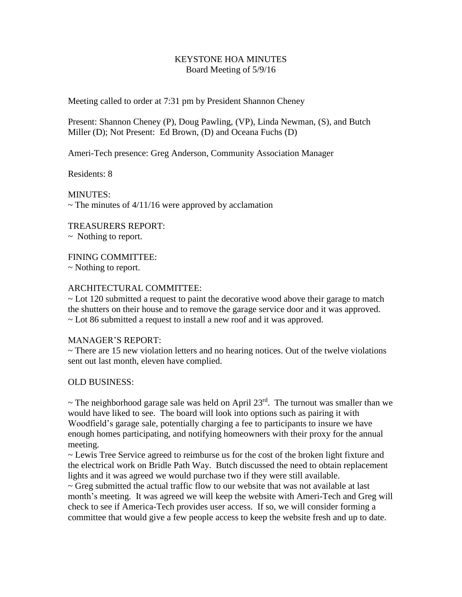## KEYSTONE HOA MINUTES Board Meeting of 5/9/16

Meeting called to order at 7:31 pm by President Shannon Cheney

Present: Shannon Cheney (P), Doug Pawling, (VP), Linda Newman, (S), and Butch Miller (D); Not Present: Ed Brown, (D) and Oceana Fuchs (D)

Ameri-Tech presence: Greg Anderson, Community Association Manager

Residents: 8

MINUTES:  $\sim$  The minutes of 4/11/16 were approved by acclamation

TREASURERS REPORT:

~ Nothing to report.

FINING COMMITTEE:

~ Nothing to report.

## ARCHITECTURAL COMMITTEE:

 $\sim$  Lot 120 submitted a request to paint the decorative wood above their garage to match the shutters on their house and to remove the garage service door and it was approved. ~ Lot 86 submitted a request to install a new roof and it was approved.

## MANAGER'S REPORT:

 $\sim$  There are 15 new violation letters and no hearing notices. Out of the twelve violations sent out last month, eleven have complied.

OLD BUSINESS:

 $\sim$  The neighborhood garage sale was held on April 23<sup>rd</sup>. The turnout was smaller than we would have liked to see. The board will look into options such as pairing it with Woodfield's garage sale, potentially charging a fee to participants to insure we have enough homes participating, and notifying homeowners with their proxy for the annual meeting.

~ Lewis Tree Service agreed to reimburse us for the cost of the broken light fixture and the electrical work on Bridle Path Way. Butch discussed the need to obtain replacement lights and it was agreed we would purchase two if they were still available.

 $\sim$  Greg submitted the actual traffic flow to our website that was not available at last month's meeting. It was agreed we will keep the website with Ameri-Tech and Greg will check to see if America-Tech provides user access. If so, we will consider forming a committee that would give a few people access to keep the website fresh and up to date.